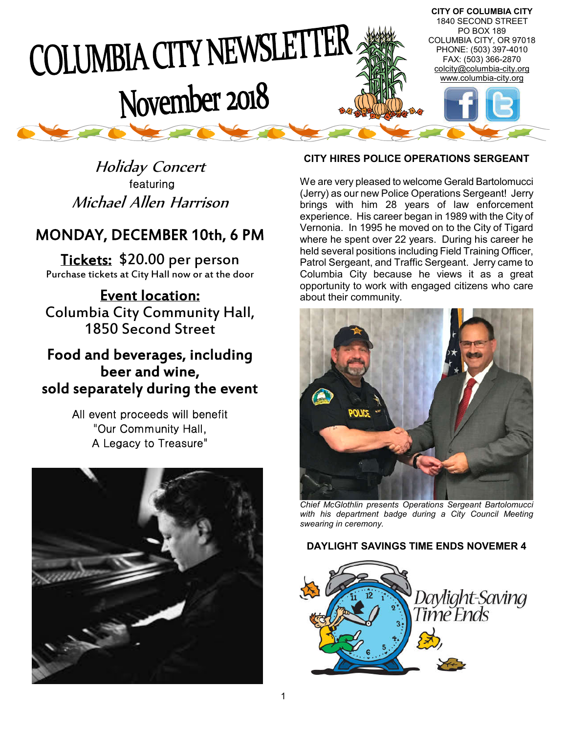

Holiday Concert featuring Michael Allen Harrison

# MONDAY, DECEMBER 10th, 6 PM

Tickets: \$20.00 per person Purchase tickets at City Hall now or at the door

Event location: Columbia City Community Hall, 1850 Second Street

# Food and beverages, including beer and wine, sold separately during the event

All event proceeds will benefit "Our Community Hall, A Legacy to Treasure"



# **CITY HIRES POLICE OPERATIONS SERGEANT**

We are very pleased to welcome Gerald Bartolomucci (Jerry) as our new Police Operations Sergeant! Jerry brings with him 28 years of law enforcement experience. His career began in 1989 with the City of Vernonia. In 1995 he moved on to the City of Tigard where he spent over 22 years. During his career he held several positions including Field Training Officer, Patrol Sergeant, and Traffic Sergeant. Jerry came to Columbia City because he views it as a great opportunity to work with engaged citizens who care about their community.



*Chief McGlothlin presents Operations Sergeant Bartolomucci with his department badge during a City Council Meeting swearing in ceremony.*

## **DAYLIGHT SAVINGS TIME ENDS NOVEMER 4**

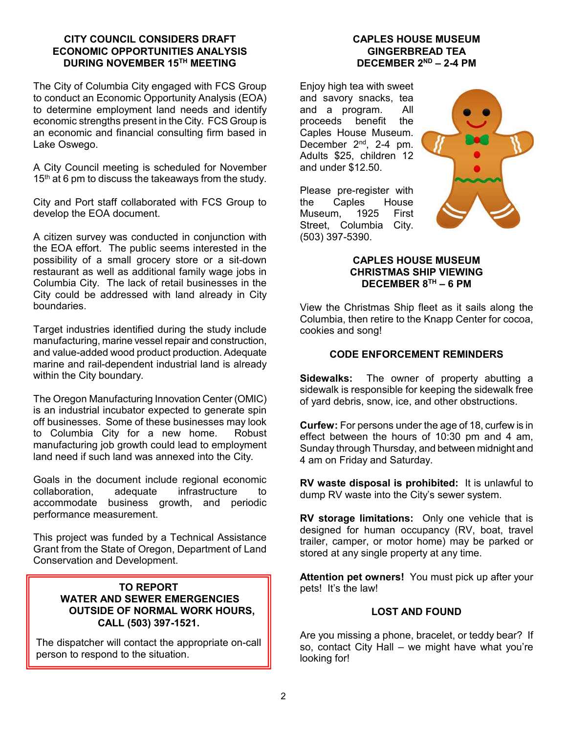#### **CITY COUNCIL CONSIDERS DRAFT ECONOMIC OPPORTUNITIES ANALYSIS DURING NOVEMBER 15TH MEETING**

The City of Columbia City engaged with FCS Group to conduct an Economic Opportunity Analysis (EOA) to determine employment land needs and identify economic strengths present in the City. FCS Group is an economic and financial consulting firm based in Lake Oswego.

A City Council meeting is scheduled for November 15<sup>th</sup> at 6 pm to discuss the takeaways from the study.

City and Port staff collaborated with FCS Group to develop the EOA document.

A citizen survey was conducted in conjunction with the EOA effort. The public seems interested in the possibility of a small grocery store or a sit-down restaurant as well as additional family wage jobs in Columbia City. The lack of retail businesses in the City could be addressed with land already in City boundaries.

Target industries identified during the study include manufacturing, marine vessel repair and construction, and value-added wood product production. Adequate marine and rail-dependent industrial land is already within the City boundary.

The Oregon Manufacturing Innovation Center (OMIC) is an industrial incubator expected to generate spin off businesses. Some of these businesses may look to Columbia City for a new home. Robust manufacturing job growth could lead to employment land need if such land was annexed into the City.

Goals in the document include regional economic collaboration, adequate infrastructure to accommodate business growth, and periodic performance measurement.

This project was funded by a Technical Assistance Grant from the State of Oregon, Department of Land Conservation and Development.

#### **TO REPORT WATER AND SEWER EMERGENCIES OUTSIDE OF NORMAL WORK HOURS, CALL (503) 397-1521.**

The dispatcher will contact the appropriate on-call person to respond to the situation.

## **CAPLES HOUSE MUSEUM GINGERBREAD TEA DECEMBER 2ND – 2-4 PM**

Enjoy high tea with sweet and savory snacks, tea and a program. All proceeds benefit the Caples House Museum. December 2<sup>nd</sup>, 2-4 pm. Adults \$25, children 12 and under \$12.50.



Please pre-register with the Caples House<br>Museum 1925 First Museum. Street, Columbia City. (503) 397-5390.

## **CAPLES HOUSE MUSEUM CHRISTMAS SHIP VIEWING DECEMBER 8TH – 6 PM**

View the Christmas Ship fleet as it sails along the Columbia, then retire to the Knapp Center for cocoa, cookies and song!

## **CODE ENFORCEMENT REMINDERS**

**Sidewalks:** The owner of property abutting a sidewalk is responsible for keeping the sidewalk free of yard debris, snow, ice, and other obstructions.

**Curfew:** For persons under the age of 18, curfew is in effect between the hours of 10:30 pm and 4 am, Sunday through Thursday, and between midnight and 4 am on Friday and Saturday.

**RV waste disposal is prohibited:** It is unlawful to dump RV waste into the City's sewer system.

**RV storage limitations:** Only one vehicle that is designed for human occupancy (RV, boat, travel trailer, camper, or motor home) may be parked or stored at any single property at any time.

**Attention pet owners!** You must pick up after your pets! It's the law!

## **LOST AND FOUND**

Are you missing a phone, bracelet, or teddy bear? If so, contact City Hall – we might have what you're looking for!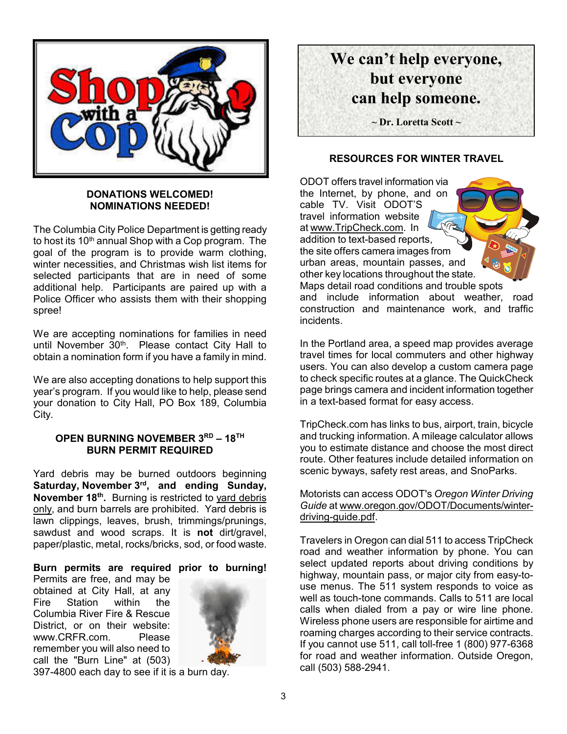

#### **DONATIONS WELCOMED! NOMINATIONS NEEDED!**

The Columbia City Police Department is getting ready to host its 10<sup>th</sup> annual Shop with a Cop program. The goal of the program is to provide warm clothing, winter necessities, and Christmas wish list items for selected participants that are in need of some additional help. Participants are paired up with a Police Officer who assists them with their shopping spree!

We are accepting nominations for families in need until November 30<sup>th</sup>. Please contact City Hall to obtain a nomination form if you have a family in mind.

We are also accepting donations to help support this year's program. If you would like to help, please send your donation to City Hall, PO Box 189, Columbia City.

## **OPEN BURNING NOVEMBER 3RD – 18TH BURN PERMIT REQUIRED**

Yard debris may be burned outdoors beginning **Saturday, November 3rd, and ending Sunday, November 18th.** Burning is restricted to yard debris only, and burn barrels are prohibited. Yard debris is lawn clippings, leaves, brush, trimmings/prunings, sawdust and wood scraps. It is **not** dirt/gravel, paper/plastic, metal, rocks/bricks, sod, or food waste.

## **Burn permits are required prior to burning!**

Permits are free, and may be obtained at City Hall, at any Fire Station within the Columbia River Fire & Rescue District, or on their website: www.CRFR.com. Please remember you will also need to call the "Burn Line" at (503)



397-4800 each day to see if it is a burn day.



## **RESOURCES FOR WINTER TRAVEL**

ODOT offers travel information via the Internet, by phone, and on cable TV. Visit ODOT'S travel information website at www.TripCheck.com. In addition to text-based reports, the site offers camera images from urban areas, mountain passes, and other key locations throughout the state. Maps detail road conditions and trouble spots and include information about weather, road construction and maintenance work, and traffic incidents.

In the Portland area, a speed map provides average travel times for local commuters and other highway users. You can also develop a custom camera page to check specific routes at a glance. The QuickCheck page brings camera and incident information together in a text-based format for easy access.

TripCheck.com has links to bus, airport, train, bicycle and trucking information. A mileage calculator allows you to estimate distance and choose the most direct route. Other features include detailed information on scenic byways, safety rest areas, and SnoParks.

#### Motorists can access ODOT's *Oregon Winter Driving Guide* at www.oregon.gov/ODOT/Documents/winterdriving-guide.pdf.

Travelers in Oregon can dial 511 to access TripCheck road and weather information by phone. You can select updated reports about driving conditions by highway, mountain pass, or major city from easy-touse menus. The 511 system responds to voice as well as touch-tone commands. Calls to 511 are local calls when dialed from a pay or wire line phone. Wireless phone users are responsible for airtime and roaming charges according to their service contracts. If you cannot use 511, call toll-free 1 (800) 977-6368 for road and weather information. Outside Oregon, call (503) 588-2941.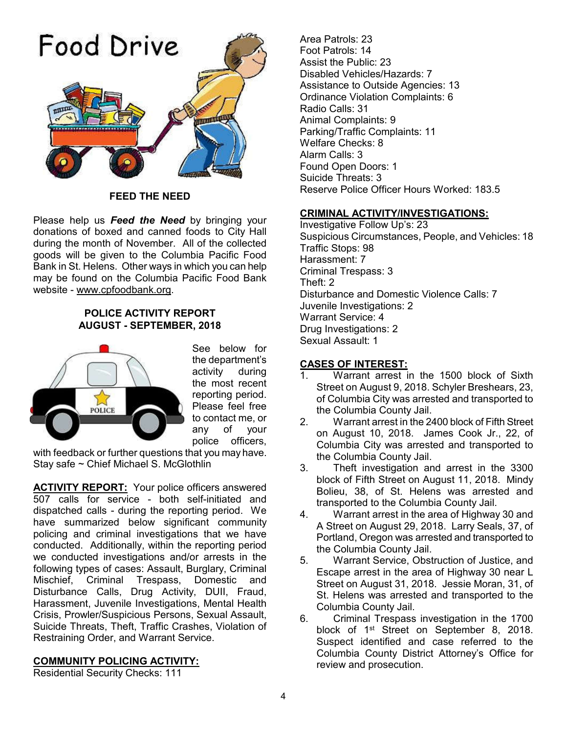

**FEED THE NEED**

Please help us *Feed the Need* by bringing your donations of boxed and canned foods to City Hall during the month of November. All of the collected goods will be given to the Columbia Pacific Food Bank in St. Helens. Other ways in which you can help may be found on the Columbia Pacific Food Bank website - www.cpfoodbank.org.

#### **POLICE ACTIVITY REPORT AUGUST - SEPTEMBER, 2018**



See below for the department's activity during the most recent reporting period. Please feel free to contact me, or any of your police officers,

with feedback or further questions that you may have. Stay safe ~ Chief Michael S. McGlothlin

**ACTIVITY REPORT:** Your police officers answered 507 calls for service - both self-initiated and dispatched calls - during the reporting period. We have summarized below significant community policing and criminal investigations that we have conducted. Additionally, within the reporting period we conducted investigations and/or arrests in the following types of cases: Assault, Burglary, Criminal Mischief, Criminal Trespass, Domestic and Disturbance Calls, Drug Activity, DUII, Fraud, Harassment, Juvenile Investigations, Mental Health Crisis, Prowler/Suspicious Persons, Sexual Assault, Suicide Threats, Theft, Traffic Crashes, Violation of Restraining Order, and Warrant Service.

## **COMMUNITY POLICING ACTIVITY:**

Residential Security Checks: 111

Area Patrols: 23 Foot Patrols: 14 Assist the Public: 23 Disabled Vehicles/Hazards: 7 Assistance to Outside Agencies: 13 Ordinance Violation Complaints: 6 Radio Calls: 31 Animal Complaints: 9 Parking/Traffic Complaints: 11 Welfare Checks: 8 Alarm Calls: 3 Found Open Doors: 1 Suicide Threats: 3 Reserve Police Officer Hours Worked: 183.5

#### **CRIMINAL ACTIVITY/INVESTIGATIONS:**

Investigative Follow Up's: 23 Suspicious Circumstances, People, and Vehicles: 18 Traffic Stops: 98 Harassment: 7 Criminal Trespass: 3 Theft: 2 Disturbance and Domestic Violence Calls: 7 Juvenile Investigations: 2 Warrant Service: 4 Drug Investigations: 2 Sexual Assault: 1

## **CASES OF INTEREST:**

- 1. Warrant arrest in the 1500 block of Sixth Street on August 9, 2018. Schyler Breshears, 23, of Columbia City was arrested and transported to the Columbia County Jail.
- 2. Warrant arrest in the 2400 block of Fifth Street on August 10, 2018. James Cook Jr., 22, of Columbia City was arrested and transported to the Columbia County Jail.
- 3. Theft investigation and arrest in the 3300 block of Fifth Street on August 11, 2018. Mindy Bolieu, 38, of St. Helens was arrested and transported to the Columbia County Jail.
- 4. Warrant arrest in the area of Highway 30 and A Street on August 29, 2018. Larry Seals, 37, of Portland, Oregon was arrested and transported to the Columbia County Jail.
- 5. Warrant Service, Obstruction of Justice, and Escape arrest in the area of Highway 30 near L Street on August 31, 2018. Jessie Moran, 31, of St. Helens was arrested and transported to the Columbia County Jail.
- 6. Criminal Trespass investigation in the 1700 block of 1st Street on September 8, 2018. Suspect identified and case referred to the Columbia County District Attorney's Office for review and prosecution.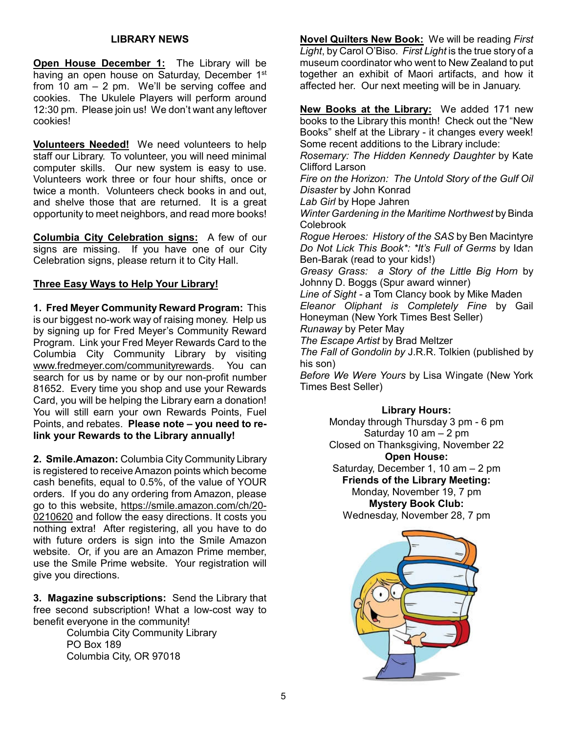#### **LIBRARY NEWS**

**Open House December 1:** The Library will be having an open house on Saturday, December 1<sup>st</sup> from 10 am – 2 pm. We'll be serving coffee and cookies. The Ukulele Players will perform around 12:30 pm. Please join us! We don't want any leftover cookies!

**Volunteers Needed!** We need volunteers to help staff our Library. To volunteer, you will need minimal computer skills. Our new system is easy to use. Volunteers work three or four hour shifts, once or twice a month. Volunteers check books in and out, and shelve those that are returned. It is a great opportunity to meet neighbors, and read more books!

**Columbia City Celebration signs:** A few of our signs are missing. If you have one of our City Celebration signs, please return it to City Hall.

#### **Three Easy Ways to Help Your Library!**

**1. Fred Meyer Community Reward Program:** This is our biggest no-work way of raising money. Help us by signing up for Fred Meyer's Community Reward Program. Link your Fred Meyer Rewards Card to the Columbia City Community Library by visiting www.fredmeyer.com/communityrewards. You can search for us by name or by our non-profit number 81652. Every time you shop and use your Rewards Card, you will be helping the Library earn a donation! You will still earn your own Rewards Points, Fuel Points, and rebates. **Please note – you need to relink your Rewards to the Library annually!**

**2. Smile.Amazon:** Columbia City Community Library is registered to receive Amazon points which become cash benefits, equal to 0.5%, of the value of YOUR orders. If you do any ordering from Amazon, please go to this website, https://smile.amazon.com/ch/20- 0210620 and follow the easy directions. It costs you nothing extra! After registering, all you have to do with future orders is sign into the Smile Amazon website. Or, if you are an Amazon Prime member, use the Smile Prime website. Your registration will give you directions.

**3. Magazine subscriptions:** Send the Library that free second subscription! What a low-cost way to benefit everyone in the community!

Columbia City Community Library PO Box 189 Columbia City, OR 97018

**Novel Quilters New Book:** We will be reading *First Light*, by Carol O'Biso*. First Light* is the true story of a museum coordinator who went to New Zealand to put together an exhibit of Maori artifacts, and how it affected her. Our next meeting will be in January.

**New Books at the Library:** We added 171 new books to the Library this month! Check out the "New Books" shelf at the Library - it changes every week! Some recent additions to the Library include:

*Rosemary: The Hidden Kennedy Daughter* by Kate Clifford Larson

*Fire on the Horizon: The Untold Story of the Gulf Oil Disaster* by John Konrad

*Lab Girl* by Hope Jahren

*Winter Gardening in the Maritime Northwest* by Binda Colebrook

*Rogue Heroes: History of the SAS* by Ben Macintyre *Do Not Lick This Book\*: \*It's Full of Germs* by Idan Ben-Barak (read to your kids!)

*Greasy Grass: a Story of the Little Big Horn* by Johnny D. Boggs (Spur award winner)

*Line of Sight -* a Tom Clancy book by Mike Maden *Eleanor Oliphant is Completely Fine* by Gail Honeyman (New York Times Best Seller)

*Runaway* by Peter May

*The Escape Artist* by Brad Meltzer

*The Fall of Gondolin by* J.R.R. Tolkien (published by his son)

*Before We Were Yours* by Lisa Wingate (New York Times Best Seller)

#### **Library Hours:**

Monday through Thursday 3 pm - 6 pm Saturday 10  $am - 2 pm$ Closed on Thanksgiving, November 22 **Open House:** Saturday, December 1, 10 am – 2 pm **Friends of the Library Meeting:**

Monday, November 19, 7 pm **Mystery Book Club:** Wednesday, November 28, 7 pm